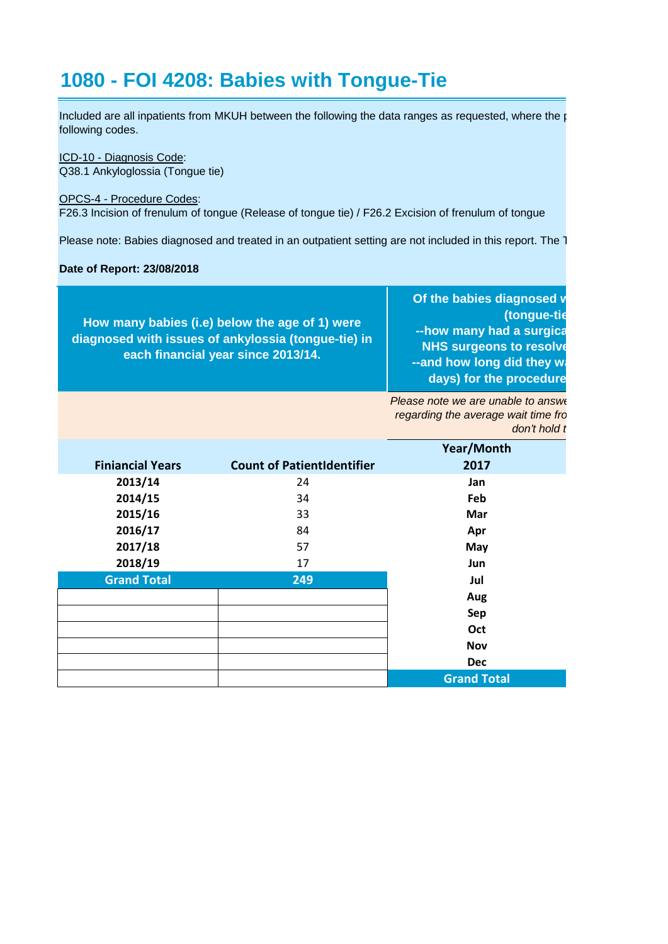## **1080 - FOI 4208: Babies with Tongue-Tie**

Included are all inpatients from MKUH between the following the data ranges as requested, where the  $\mathfrak{p}$ following codes.

## ICD-10 - Diagnosis Code:

Q38.1 Ankyloglossia (Tongue tie)

## OPCS-4 - Procedure Codes:

F26.3 Incision of frenulum of tongue (Release of tongue tie) / F26.2 Excision of frenulum of tongue

Please note: Babies diagnosed and treated in an outpatient setting are not included in this report. The T

## **Date of Report: 23/08/2018**

| How many babies (i.e) below the age of 1) were<br>diagnosed with issues of ankylossia (tongue-tie) in<br>each financial year since 2013/14. | Of the babies diagnosed w<br>(tongue-tie<br>--how many had a surgica<br><b>NHS surgeons to resolve</b><br>--and how long did they wa<br>days) for the procedure |
|---------------------------------------------------------------------------------------------------------------------------------------------|-----------------------------------------------------------------------------------------------------------------------------------------------------------------|
|---------------------------------------------------------------------------------------------------------------------------------------------|-----------------------------------------------------------------------------------------------------------------------------------------------------------------|

*Please note we are unable to answe regarding the average wait time fro don't hold t* 

|                         |                                   | Year/Month         |
|-------------------------|-----------------------------------|--------------------|
| <b>Finiancial Years</b> | <b>Count of PatientIdentifier</b> | 2017               |
| 2013/14                 | 24                                | Jan                |
| 2014/15                 | 34                                | Feb                |
| 2015/16                 | 33                                | Mar                |
| 2016/17                 | 84                                | Apr                |
| 2017/18                 | 57                                | May                |
| 2018/19                 | 17                                | <b>Jun</b>         |
| <b>Grand Total</b>      | 249                               | Jul                |
|                         |                                   | Aug                |
|                         |                                   | Sep                |
|                         |                                   | Oct                |
|                         |                                   | <b>Nov</b>         |
|                         |                                   | <b>Dec</b>         |
|                         |                                   | <b>Grand Total</b> |